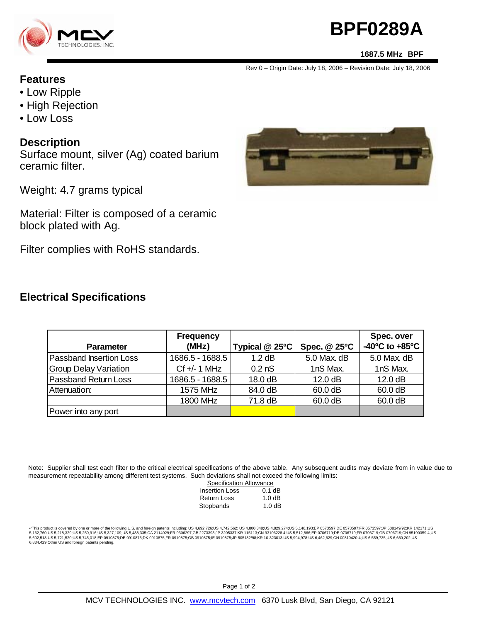

# **BPF0289A**

#### **1687.5 MHz BPF**

Rev 0 – Origin Date: July 18, 2006 – Revision Date: July 18, 2006

#### **Features**

- Low Ripple
- High Rejection
- Low Loss

#### **Description**

Surface mount, silver (Ag) coated barium ceramic filter.

Weight: 4.7 grams typical

Material: Filter is composed of a ceramic block plated with Ag.

Filter complies with RoHS standards.

### **Electrical Specifications**

|                                | <b>Frequency</b> |                  |              | Spec. over                         |
|--------------------------------|------------------|------------------|--------------|------------------------------------|
| <b>Parameter</b>               | (MHz)            | Typical @ 25°C   | Spec. @ 25°C | $-40^{\circ}$ C to $+85^{\circ}$ C |
| <b>Passband Insertion Loss</b> | 1686.5 - 1688.5  | $1.2$ dB         | 5.0 Max. dB  | 5.0 Max. dB                        |
| Group Delay Variation          | $Cf +/- 1$ MHz   | 0.2 <sub>0</sub> | 1nS Max.     | 1nS Max.                           |
| <b>Passband Return Loss</b>    | 1686.5 - 1688.5  | 18.0 dB          | 12.0 dB      | 12.0 dB                            |
| Attenuation:                   | 1575 MHz         | 84.0 dB          | 60.0 dB      | 60.0 dB                            |
|                                | 1800 MHz         | 71.8 dB          | 60.0 dB      | 60.0 dB                            |
| Power into any port            |                  |                  |              |                                    |

Note: Supplier shall test each filter to the critical electrical specifications of the above table. Any subsequent audits may deviate from in value due to measurement repeatability among different test systems. Such deviations shall not exceed the following limits:

| <b>Specification Allowance</b> |          |
|--------------------------------|----------|
| <b>Insertion Loss</b>          | $0.1$ dB |
| Return Loss                    | 1.0dB    |
| Stopbands                      | 1.0dB    |

\*This product is covered by one or more of the following U.S. and foreign patents including: US 4,692,726;US 4,742,562; US 4,800,348;US 4,829,274;US 5,146,193;EP 0573597;DE 0573597;FR 0573597;JP 508149/92;KR 142171;US<br>5,16 6,834,429.Other US and foreign patents pending.

Page 1 of 2